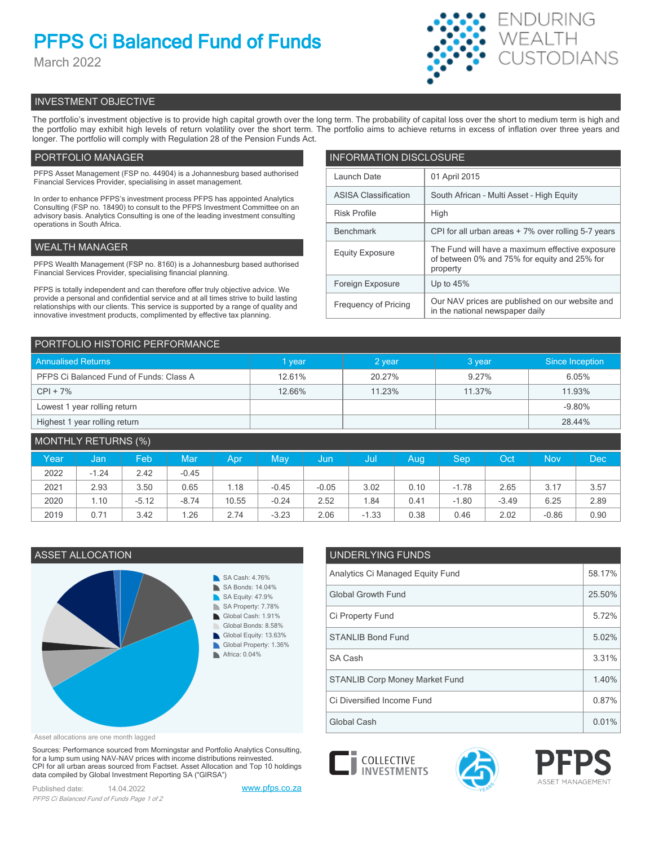# **PFPS Ci Balanced Fund of Funds**

March 2022



# INVESTMENT OBJECTIVE

The portfolio's investment objective is to provide high capital growth over the long term. The probability of capital loss over the short to medium term is high and the portfolio may exhibit high levels of return volatility over the short term. The portfolio aims to achieve returns in excess of inflation over three years and longer. The portfolio will comply with Regulation 28 of the Pension Funds Act.

# PORTFOLIO MANAGER

PFPS Asset Management (FSP no. 44904) is a Johannesburg based authorised Financial Services Provider, specialising in asset management.

In order to enhance PFPS's investment process PFPS has appointed Analytics Consulting (FSP no. 18490) to consult to the PFPS Investment Committee on an advisory basis. Analytics Consulting is one of the leading investment consulting operations in South Africa.

# WEALTH MANAGER

PFPS Wealth Management (FSP no. 8160) is a Johannesburg based authorised Financial Services Provider, specialising financial planning.

PFPS is totally independent and can therefore offer truly objective advice. We provide a personal and confidential service and at all times strive to build lasting relationships with our clients. This service is supported by a range of quality and innovative investment products, complimented by effective tax planning.

| <b>INFORMATION DISCLOSURE</b> |                                                                                                             |  |  |  |  |
|-------------------------------|-------------------------------------------------------------------------------------------------------------|--|--|--|--|
| Launch Date                   | 01 April 2015                                                                                               |  |  |  |  |
| <b>ASISA Classification</b>   | South African - Multi Asset - High Equity                                                                   |  |  |  |  |
| <b>Risk Profile</b>           | High                                                                                                        |  |  |  |  |
| <b>Benchmark</b>              | CPI for all urban areas + 7% over rolling 5-7 years                                                         |  |  |  |  |
| <b>Equity Exposure</b>        | The Fund will have a maximum effective exposure<br>of between 0% and 75% for equity and 25% for<br>property |  |  |  |  |
| Foreign Exposure              | Up to $45%$                                                                                                 |  |  |  |  |
| <b>Frequency of Pricing</b>   | Our NAV prices are published on our website and<br>in the national newspaper daily                          |  |  |  |  |

| <b>PORTFOLIO HISTORIC PERFORMANCE</b>   |        |        |        |                 |  |  |
|-----------------------------------------|--------|--------|--------|-----------------|--|--|
| <b>Annualised Returns</b>               | 1 year | 2 year | 3 year | Since Inception |  |  |
| PFPS Ci Balanced Fund of Funds: Class A | 12.61% | 20.27% | 9.27%  | 6.05%           |  |  |
| $CPI + 7%$                              | 12.66% | 11.23% | 11.37% | 11.93%          |  |  |
| Lowest 1 year rolling return            |        |        |        | $-9.80%$        |  |  |
| Highest 1 year rolling return           |        |        |        | 28.44%          |  |  |
|                                         |        |        |        |                 |  |  |

| MONTHLY RETURNS (%) |         |         |         |       |         |         |         |      |         |         |            |      |
|---------------------|---------|---------|---------|-------|---------|---------|---------|------|---------|---------|------------|------|
| Year                | Jan     | Feb     | Mar     | Apr   | May     | Jun     | IJul    | Aug  | Sep     | Oct     | <b>Nov</b> | Dec  |
| 2022                | $-1.24$ | 2.42    | $-0.45$ |       |         |         |         |      |         |         |            |      |
| 2021                | 2.93    | 3.50    | 0.65    | 1.18  | $-0.45$ | $-0.05$ | 3.02    | 0.10 | $-1.78$ | 2.65    | 3.17       | 3.57 |
| 2020                | 1.10    | $-5.12$ | $-8.74$ | 10.55 | $-0.24$ | 2.52    | 1.84    | 0.41 | $-1.80$ | $-3.49$ | 6.25       | 2.89 |
| 2019                | 0.71    | 3.42    | 1.26    | 2.74  | $-3.23$ | 2.06    | $-1.33$ | 0.38 | 0.46    | 2.02    | $-0.86$    | 0.90 |



Asset allocations are one month lagged

Sources: Performance sourced from Morningstar and Portfolio Analytics Consulting, for a lump sum using NAV-NAV prices with income distributions reinvested. CPI for all urban areas sourced from Factset. Asset Allocation and Top 10 holdings data compiled by Global Investment Reporting SA ("GIRSA")

Published date: 14.04.2022 [www.pfps.co.za](https://www.pfps.co.za/) *PFPS Ci Balanced Fund of Funds Page 1 of 2*